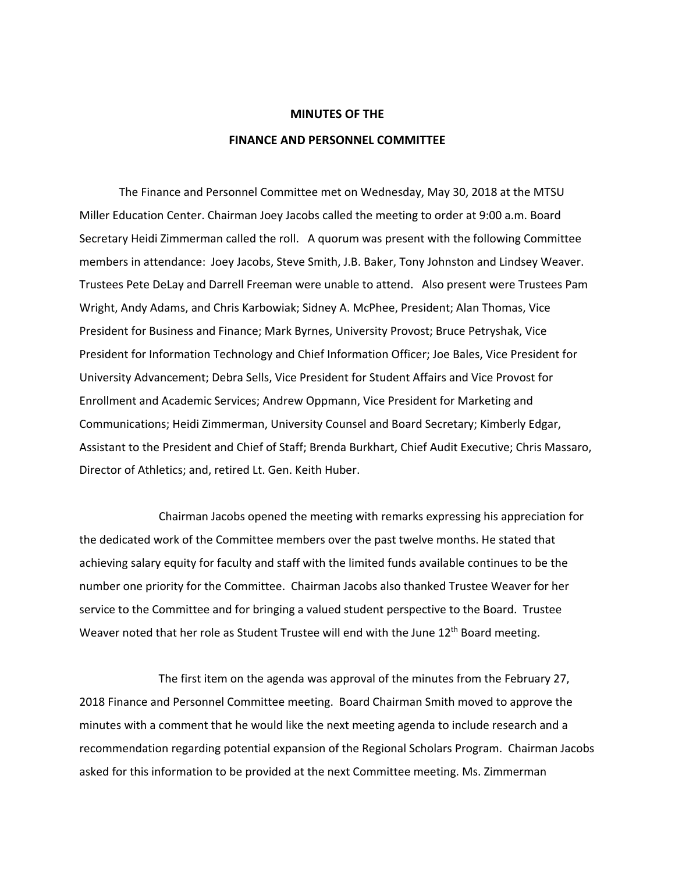## **MINUTES OF THE FINANCE AND PERSONNEL COMMITTEE**

The Finance and Personnel Committee met on Wednesday, May 30, 2018 at the MTSU Miller Education Center. Chairman Joey Jacobs called the meeting to order at 9:00 a.m. Board Secretary Heidi Zimmerman called the roll. A quorum was present with the following Committee members in attendance: Joey Jacobs, Steve Smith, J.B. Baker, Tony Johnston and Lindsey Weaver. Trustees Pete DeLay and Darrell Freeman were unable to attend. Also present were Trustees Pam Wright, Andy Adams, and Chris Karbowiak; Sidney A. McPhee, President; Alan Thomas, Vice President for Business and Finance; Mark Byrnes, University Provost; Bruce Petryshak, Vice President for Information Technology and Chief Information Officer; Joe Bales, Vice President for University Advancement; Debra Sells, Vice President for Student Affairs and Vice Provost for Enrollment and Academic Services; Andrew Oppmann, Vice President for Marketing and Communications; Heidi Zimmerman, University Counsel and Board Secretary; Kimberly Edgar, Assistant to the President and Chief of Staff; Brenda Burkhart, Chief Audit Executive; Chris Massaro, Director of Athletics; and, retired Lt. Gen. Keith Huber.

Chairman Jacobs opened the meeting with remarks expressing his appreciation for the dedicated work of the Committee members over the past twelve months. He stated that achieving salary equity for faculty and staff with the limited funds available continues to be the number one priority for the Committee. Chairman Jacobs also thanked Trustee Weaver for her service to the Committee and for bringing a valued student perspective to the Board. Trustee Weaver noted that her role as Student Trustee will end with the June  $12<sup>th</sup>$  Board meeting.

The first item on the agenda was approval of the minutes from the February 27, 2018 Finance and Personnel Committee meeting. Board Chairman Smith moved to approve the minutes with a comment that he would like the next meeting agenda to include research and a recommendation regarding potential expansion of the Regional Scholars Program. Chairman Jacobs asked for this information to be provided at the next Committee meeting. Ms. Zimmerman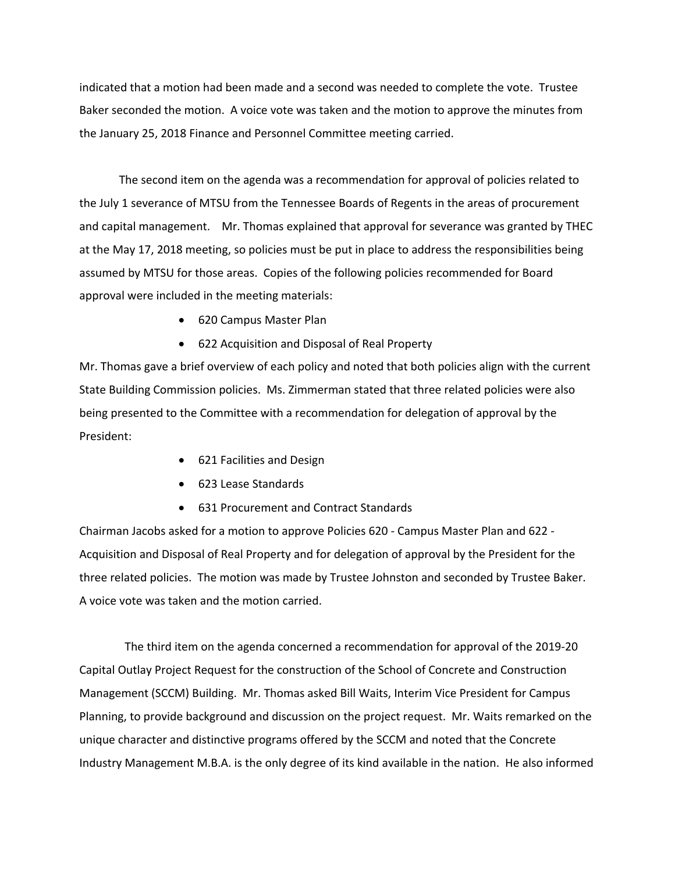indicated that a motion had been made and a second was needed to complete the vote. Trustee Baker seconded the motion. A voice vote was taken and the motion to approve the minutes from the January 25, 2018 Finance and Personnel Committee meeting carried.

The second item on the agenda was a recommendation for approval of policies related to the July 1 severance of MTSU from the Tennessee Boards of Regents in the areas of procurement and capital management. Mr. Thomas explained that approval for severance was granted by THEC at the May 17, 2018 meeting, so policies must be put in place to address the responsibilities being assumed by MTSU for those areas. Copies of the following policies recommended for Board approval were included in the meeting materials:

- 620 Campus Master Plan
- 622 Acquisition and Disposal of Real Property

Mr. Thomas gave a brief overview of each policy and noted that both policies align with the current State Building Commission policies. Ms. Zimmerman stated that three related policies were also being presented to the Committee with a recommendation for delegation of approval by the President:

- 621 Facilities and Design
- 623 Lease Standards
- 631 Procurement and Contract Standards

Chairman Jacobs asked for a motion to approve Policies 620 - Campus Master Plan and 622 - Acquisition and Disposal of Real Property and for delegation of approval by the President for the three related policies. The motion was made by Trustee Johnston and seconded by Trustee Baker. A voice vote was taken and the motion carried.

 The third item on the agenda concerned a recommendation for approval of the 2019-20 Capital Outlay Project Request for the construction of the School of Concrete and Construction Management (SCCM) Building. Mr. Thomas asked Bill Waits, Interim Vice President for Campus Planning, to provide background and discussion on the project request. Mr. Waits remarked on the unique character and distinctive programs offered by the SCCM and noted that the Concrete Industry Management M.B.A. is the only degree of its kind available in the nation. He also informed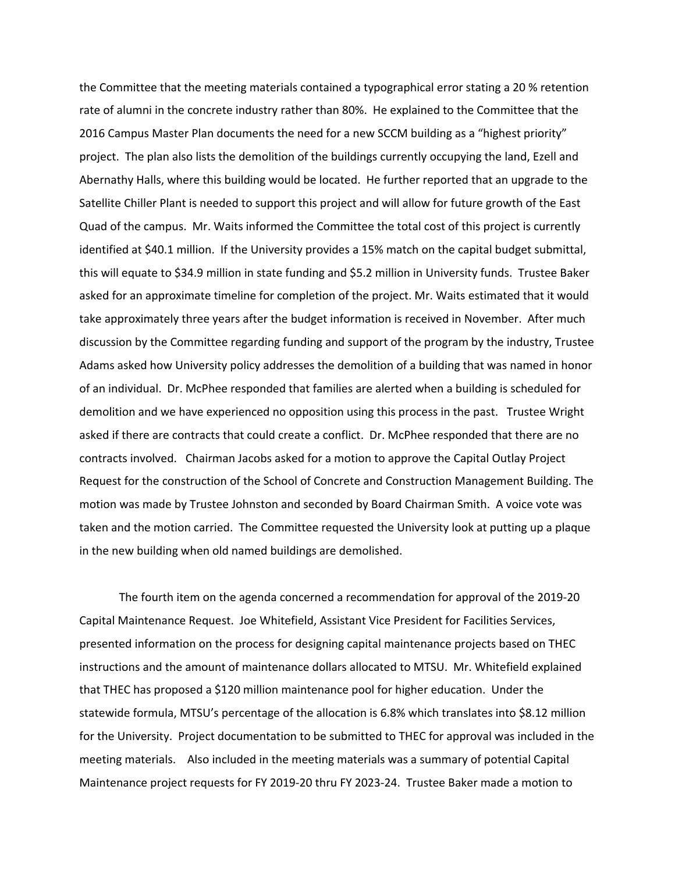the Committee that the meeting materials contained a typographical error stating a 20 % retention rate of alumni in the concrete industry rather than 80%. He explained to the Committee that the 2016 Campus Master Plan documents the need for a new SCCM building as a "highest priority" project. The plan also lists the demolition of the buildings currently occupying the land, Ezell and Abernathy Halls, where this building would be located. He further reported that an upgrade to the Satellite Chiller Plant is needed to support this project and will allow for future growth of the East Quad of the campus. Mr. Waits informed the Committee the total cost of this project is currently identified at \$40.1 million. If the University provides a 15% match on the capital budget submittal, this will equate to \$34.9 million in state funding and \$5.2 million in University funds. Trustee Baker asked for an approximate timeline for completion of the project. Mr. Waits estimated that it would take approximately three years after the budget information is received in November. After much discussion by the Committee regarding funding and support of the program by the industry, Trustee Adams asked how University policy addresses the demolition of a building that was named in honor of an individual. Dr. McPhee responded that families are alerted when a building is scheduled for demolition and we have experienced no opposition using this process in the past. Trustee Wright asked if there are contracts that could create a conflict. Dr. McPhee responded that there are no contracts involved. Chairman Jacobs asked for a motion to approve the Capital Outlay Project Request for the construction of the School of Concrete and Construction Management Building. The motion was made by Trustee Johnston and seconded by Board Chairman Smith. A voice vote was taken and the motion carried. The Committee requested the University look at putting up a plaque in the new building when old named buildings are demolished.

The fourth item on the agenda concerned a recommendation for approval of the 2019-20 Capital Maintenance Request. Joe Whitefield, Assistant Vice President for Facilities Services, presented information on the process for designing capital maintenance projects based on THEC instructions and the amount of maintenance dollars allocated to MTSU. Mr. Whitefield explained that THEC has proposed a \$120 million maintenance pool for higher education. Under the statewide formula, MTSU's percentage of the allocation is 6.8% which translates into \$8.12 million for the University. Project documentation to be submitted to THEC for approval was included in the meeting materials. Also included in the meeting materials was a summary of potential Capital Maintenance project requests for FY 2019-20 thru FY 2023-24. Trustee Baker made a motion to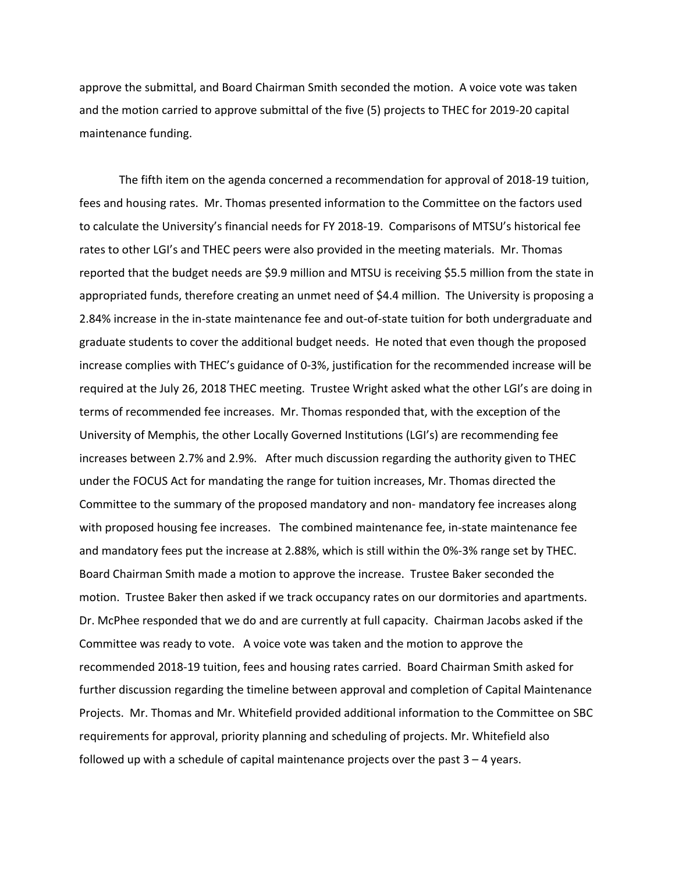approve the submittal, and Board Chairman Smith seconded the motion. A voice vote was taken and the motion carried to approve submittal of the five (5) projects to THEC for 2019-20 capital maintenance funding.

The fifth item on the agenda concerned a recommendation for approval of 2018-19 tuition, fees and housing rates. Mr. Thomas presented information to the Committee on the factors used to calculate the University's financial needs for FY 2018-19. Comparisons of MTSU's historical fee rates to other LGI's and THEC peers were also provided in the meeting materials. Mr. Thomas reported that the budget needs are \$9.9 million and MTSU is receiving \$5.5 million from the state in appropriated funds, therefore creating an unmet need of \$4.4 million. The University is proposing a 2.84% increase in the in-state maintenance fee and out-of-state tuition for both undergraduate and graduate students to cover the additional budget needs. He noted that even though the proposed increase complies with THEC's guidance of 0-3%, justification for the recommended increase will be required at the July 26, 2018 THEC meeting. Trustee Wright asked what the other LGI's are doing in terms of recommended fee increases. Mr. Thomas responded that, with the exception of the University of Memphis, the other Locally Governed Institutions (LGI's) are recommending fee increases between 2.7% and 2.9%. After much discussion regarding the authority given to THEC under the FOCUS Act for mandating the range for tuition increases, Mr. Thomas directed the Committee to the summary of the proposed mandatory and non- mandatory fee increases along with proposed housing fee increases. The combined maintenance fee, in-state maintenance fee and mandatory fees put the increase at 2.88%, which is still within the 0%-3% range set by THEC. Board Chairman Smith made a motion to approve the increase. Trustee Baker seconded the motion. Trustee Baker then asked if we track occupancy rates on our dormitories and apartments. Dr. McPhee responded that we do and are currently at full capacity. Chairman Jacobs asked if the Committee was ready to vote. A voice vote was taken and the motion to approve the recommended 2018-19 tuition, fees and housing rates carried. Board Chairman Smith asked for further discussion regarding the timeline between approval and completion of Capital Maintenance Projects. Mr. Thomas and Mr. Whitefield provided additional information to the Committee on SBC requirements for approval, priority planning and scheduling of projects. Mr. Whitefield also followed up with a schedule of capital maintenance projects over the past  $3 - 4$  years.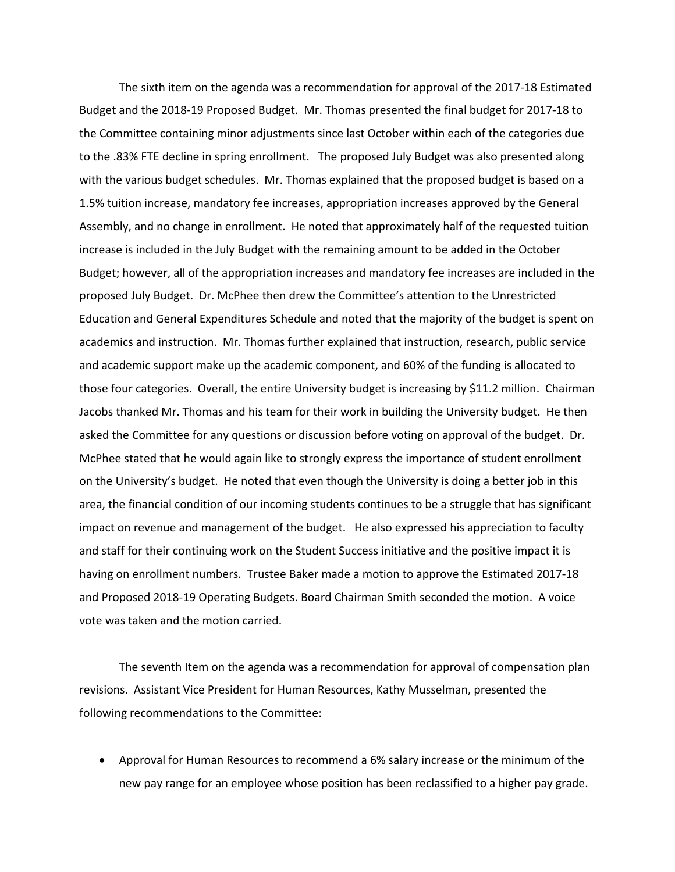The sixth item on the agenda was a recommendation for approval of the 2017-18 Estimated Budget and the 2018-19 Proposed Budget. Mr. Thomas presented the final budget for 2017-18 to the Committee containing minor adjustments since last October within each of the categories due to the .83% FTE decline in spring enrollment. The proposed July Budget was also presented along with the various budget schedules. Mr. Thomas explained that the proposed budget is based on a 1.5% tuition increase, mandatory fee increases, appropriation increases approved by the General Assembly, and no change in enrollment. He noted that approximately half of the requested tuition increase is included in the July Budget with the remaining amount to be added in the October Budget; however, all of the appropriation increases and mandatory fee increases are included in the proposed July Budget. Dr. McPhee then drew the Committee's attention to the Unrestricted Education and General Expenditures Schedule and noted that the majority of the budget is spent on academics and instruction. Mr. Thomas further explained that instruction, research, public service and academic support make up the academic component, and 60% of the funding is allocated to those four categories. Overall, the entire University budget is increasing by \$11.2 million. Chairman Jacobs thanked Mr. Thomas and his team for their work in building the University budget. He then asked the Committee for any questions or discussion before voting on approval of the budget. Dr. McPhee stated that he would again like to strongly express the importance of student enrollment on the University's budget. He noted that even though the University is doing a better job in this area, the financial condition of our incoming students continues to be a struggle that has significant impact on revenue and management of the budget. He also expressed his appreciation to faculty and staff for their continuing work on the Student Success initiative and the positive impact it is having on enrollment numbers. Trustee Baker made a motion to approve the Estimated 2017-18 and Proposed 2018-19 Operating Budgets. Board Chairman Smith seconded the motion. A voice vote was taken and the motion carried.

The seventh Item on the agenda was a recommendation for approval of compensation plan revisions. Assistant Vice President for Human Resources, Kathy Musselman, presented the following recommendations to the Committee:

• Approval for Human Resources to recommend a 6% salary increase or the minimum of the new pay range for an employee whose position has been reclassified to a higher pay grade.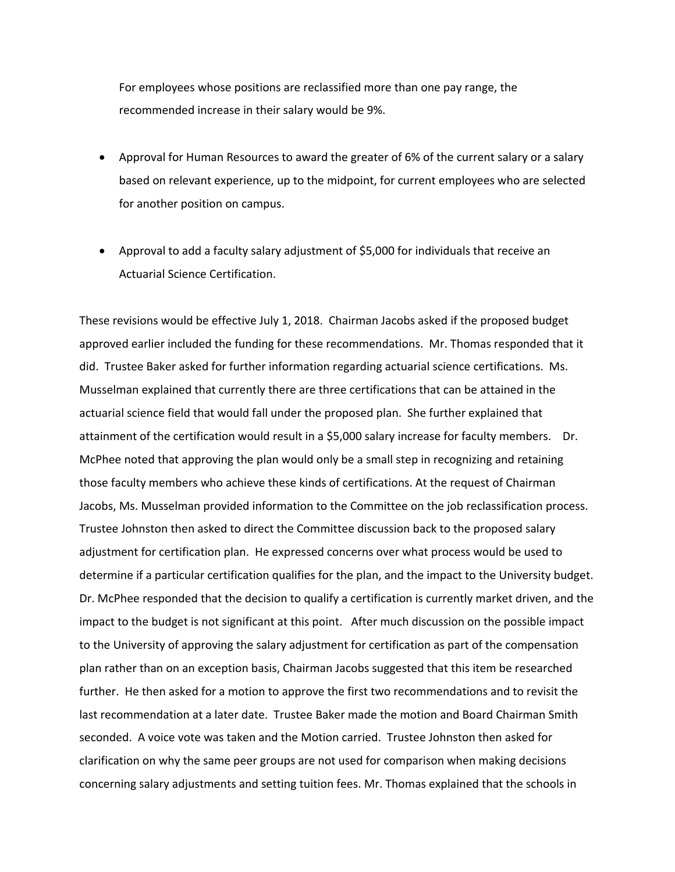For employees whose positions are reclassified more than one pay range, the recommended increase in their salary would be 9%.

- Approval for Human Resources to award the greater of 6% of the current salary or a salary based on relevant experience, up to the midpoint, for current employees who are selected for another position on campus.
- Approval to add a faculty salary adjustment of \$5,000 for individuals that receive an Actuarial Science Certification.

These revisions would be effective July 1, 2018. Chairman Jacobs asked if the proposed budget approved earlier included the funding for these recommendations. Mr. Thomas responded that it did. Trustee Baker asked for further information regarding actuarial science certifications. Ms. Musselman explained that currently there are three certifications that can be attained in the actuarial science field that would fall under the proposed plan. She further explained that attainment of the certification would result in a \$5,000 salary increase for faculty members. Dr. McPhee noted that approving the plan would only be a small step in recognizing and retaining those faculty members who achieve these kinds of certifications. At the request of Chairman Jacobs, Ms. Musselman provided information to the Committee on the job reclassification process. Trustee Johnston then asked to direct the Committee discussion back to the proposed salary adjustment for certification plan. He expressed concerns over what process would be used to determine if a particular certification qualifies for the plan, and the impact to the University budget. Dr. McPhee responded that the decision to qualify a certification is currently market driven, and the impact to the budget is not significant at this point. After much discussion on the possible impact to the University of approving the salary adjustment for certification as part of the compensation plan rather than on an exception basis, Chairman Jacobs suggested that this item be researched further. He then asked for a motion to approve the first two recommendations and to revisit the last recommendation at a later date. Trustee Baker made the motion and Board Chairman Smith seconded. A voice vote was taken and the Motion carried. Trustee Johnston then asked for clarification on why the same peer groups are not used for comparison when making decisions concerning salary adjustments and setting tuition fees. Mr. Thomas explained that the schools in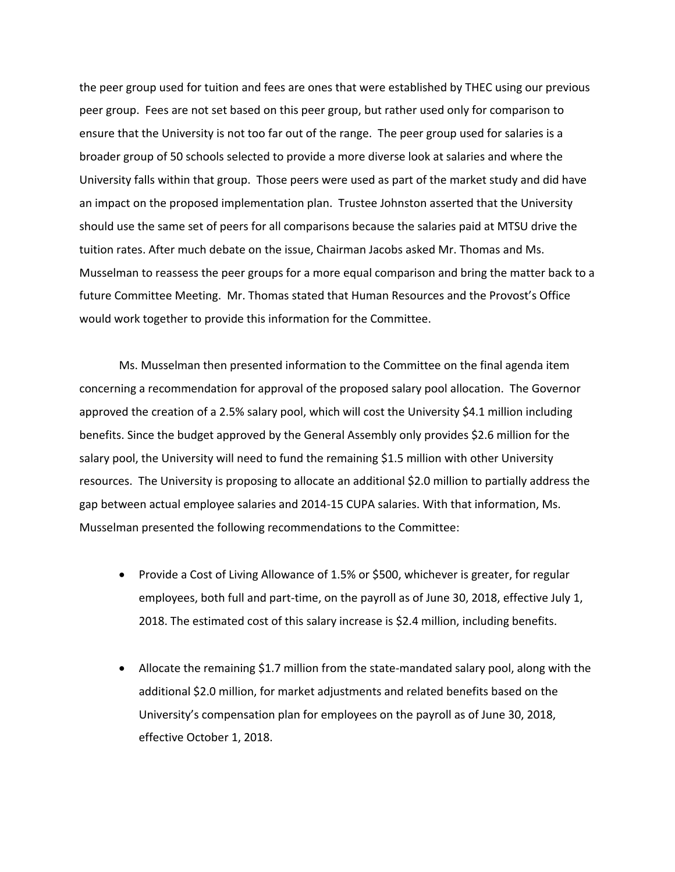the peer group used for tuition and fees are ones that were established by THEC using our previous peer group. Fees are not set based on this peer group, but rather used only for comparison to ensure that the University is not too far out of the range. The peer group used for salaries is a broader group of 50 schools selected to provide a more diverse look at salaries and where the University falls within that group. Those peers were used as part of the market study and did have an impact on the proposed implementation plan. Trustee Johnston asserted that the University should use the same set of peers for all comparisons because the salaries paid at MTSU drive the tuition rates. After much debate on the issue, Chairman Jacobs asked Mr. Thomas and Ms. Musselman to reassess the peer groups for a more equal comparison and bring the matter back to a future Committee Meeting. Mr. Thomas stated that Human Resources and the Provost's Office would work together to provide this information for the Committee.

Ms. Musselman then presented information to the Committee on the final agenda item concerning a recommendation for approval of the proposed salary pool allocation. The Governor approved the creation of a 2.5% salary pool, which will cost the University \$4.1 million including benefits. Since the budget approved by the General Assembly only provides \$2.6 million for the salary pool, the University will need to fund the remaining \$1.5 million with other University resources. The University is proposing to allocate an additional \$2.0 million to partially address the gap between actual employee salaries and 2014-15 CUPA salaries. With that information, Ms. Musselman presented the following recommendations to the Committee:

- Provide a Cost of Living Allowance of 1.5% or \$500, whichever is greater, for regular employees, both full and part-time, on the payroll as of June 30, 2018, effective July 1, 2018. The estimated cost of this salary increase is \$2.4 million, including benefits.
- Allocate the remaining \$1.7 million from the state-mandated salary pool, along with the additional \$2.0 million, for market adjustments and related benefits based on the University's compensation plan for employees on the payroll as of June 30, 2018, effective October 1, 2018.